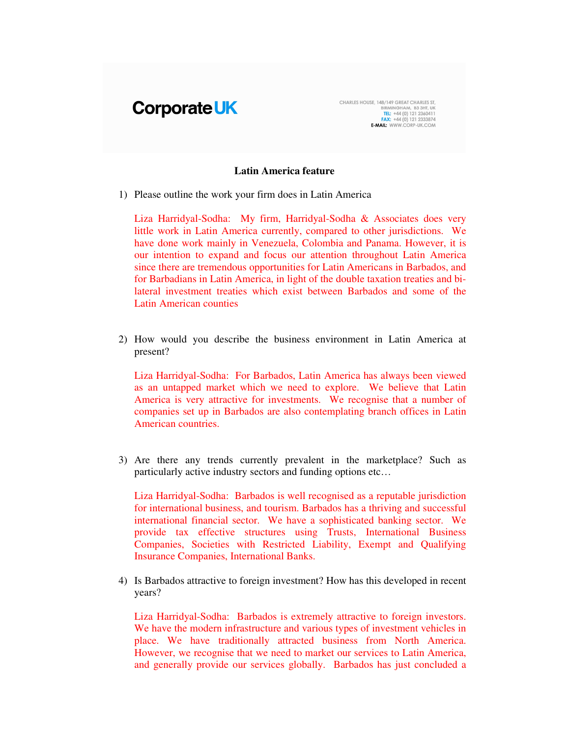

CHARLES HOUSE, 148/149 GREAT CHARLES ST,<br>BIRMINGHAM, B3 3HT, UK<br>TEL: +44 (0) 121 2360411<br>TEL: +44 (0) 121 2333874<br>E-MAIL: WWW.CORP-UK.COM

## **Latin America feature**

1) Please outline the work your firm does in Latin America

Liza Harridyal-Sodha: My firm, Harridyal-Sodha & Associates does very little work in Latin America currently, compared to other jurisdictions. We have done work mainly in Venezuela, Colombia and Panama. However, it is our intention to expand and focus our attention throughout Latin America since there are tremendous opportunities for Latin Americans in Barbados, and for Barbadians in Latin America, in light of the double taxation treaties and bilateral investment treaties which exist between Barbados and some of the Latin American counties

2) How would you describe the business environment in Latin America at present?

Liza Harridyal-Sodha: For Barbados, Latin America has always been viewed as an untapped market which we need to explore. We believe that Latin America is very attractive for investments. We recognise that a number of companies set up in Barbados are also contemplating branch offices in Latin American countries.

3) Are there any trends currently prevalent in the marketplace? Such as particularly active industry sectors and funding options etc…

Liza Harridyal-Sodha: Barbados is well recognised as a reputable jurisdiction for international business, and tourism. Barbados has a thriving and successful international financial sector. We have a sophisticated banking sector. We provide tax effective structures using Trusts, International Business Companies, Societies with Restricted Liability, Exempt and Qualifying Insurance Companies, International Banks.

4) Is Barbados attractive to foreign investment? How has this developed in recent years?

Liza Harridyal-Sodha: Barbados is extremely attractive to foreign investors. We have the modern infrastructure and various types of investment vehicles in place. We have traditionally attracted business from North America. However, we recognise that we need to market our services to Latin America, and generally provide our services globally. Barbados has just concluded a